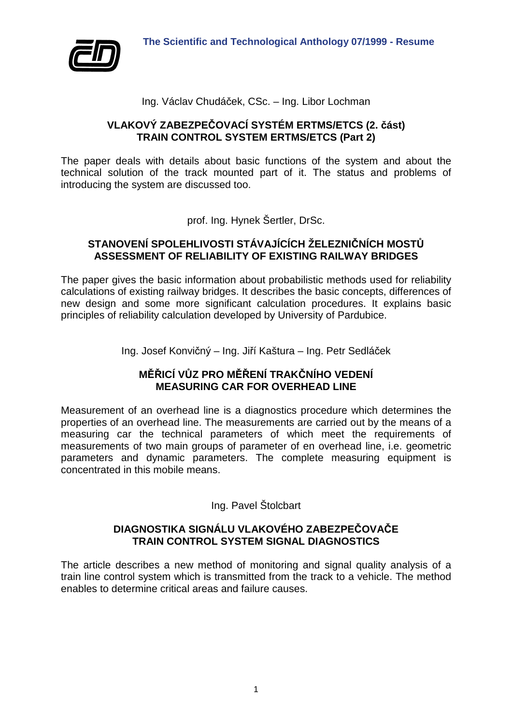



Ing. Václav Chudáček, CSc. – Ing. Libor Lochman

## **VLAKOVÝ ZABEZPEČOVACÍ SYSTÉM ERTMS/ETCS (2. část) TRAIN CONTROL SYSTEM ERTMS/ETCS (Part 2)**

The paper deals with details about basic functions of the system and about the technical solution of the track mounted part of it. The status and problems of introducing the system are discussed too.

prof. Ing. Hynek Šertler, DrSc.

## **STANOVENÍ SPOLEHLIVOSTI STÁVAJÍCÍCH ŽELEZNIČNÍCH MOSTŮ ASSESSMENT OF RELIABILITY OF EXISTING RAILWAY BRIDGES**

The paper gives the basic information about probabilistic methods used for reliability calculations of existing railway bridges. It describes the basic concepts, differences of new design and some more significant calculation procedures. It explains basic principles of reliability calculation developed by University of Pardubice.

Ing. Josef Konvičný – Ing. Jiří Kaštura – Ing. Petr Sedláček

## **MĚŘICÍ VŮZ PRO MĚŘENÍ TRAKČNÍHO VEDENÍ MEASURING CAR FOR OVERHEAD LINE**

Measurement of an overhead line is a diagnostics procedure which determines the properties of an overhead line. The measurements are carried out by the means of a measuring car the technical parameters of which meet the requirements of measurements of two main groups of parameter of en overhead line, i.e. geometric parameters and dynamic parameters. The complete measuring equipment is concentrated in this mobile means.

# Ing. Pavel Štolcbart

## **DIAGNOSTIKA SIGNÁLU VLAKOVÉHO ZABEZPEČOVAČE TRAIN CONTROL SYSTEM SIGNAL DIAGNOSTICS**

The article describes a new method of monitoring and signal quality analysis of a train line control system which is transmitted from the track to a vehicle. The method enables to determine critical areas and failure causes.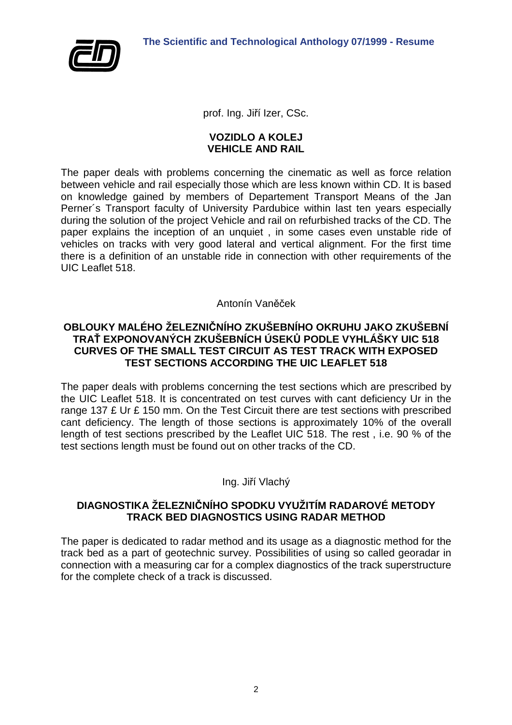

prof. Ing. Jiří Izer, CSc.

#### **VOZIDLO A KOLEJ VEHICLE AND RAIL**

The paper deals with problems concerning the cinematic as well as force relation between vehicle and rail especially those which are less known within CD. It is based on knowledge gained by members of Departement Transport Means of the Jan Perner´s Transport faculty of University Pardubice within last ten years especially during the solution of the project Vehicle and rail on refurbished tracks of the CD. The paper explains the inception of an unquiet , in some cases even unstable ride of vehicles on tracks with very good lateral and vertical alignment. For the first time there is a definition of an unstable ride in connection with other requirements of the UIC Leaflet 518.

#### Antonín Vaněček

## **OBLOUKY MALÉHO ŽELEZNIČNÍHO ZKUŠEBNÍHO OKRUHU JAKO ZKUŠEBNÍ TRAŤ EXPONOVANÝCH ZKUŠEBNÍCH ÚSEKŮ PODLE VYHLÁŠKY UIC 518 CURVES OF THE SMALL TEST CIRCUIT AS TEST TRACK WITH EXPOSED TEST SECTIONS ACCORDING THE UIC LEAFLET 518**

The paper deals with problems concerning the test sections which are prescribed by the UIC Leaflet 518. It is concentrated on test curves with cant deficiency Ur in the range 137 £ Ur £ 150 mm. On the Test Circuit there are test sections with prescribed cant deficiency. The length of those sections is approximately 10% of the overall length of test sections prescribed by the Leaflet UIC 518. The rest , i.e. 90 % of the test sections length must be found out on other tracks of the CD.

#### Ing. Jiří Vlachý

## **DIAGNOSTIKA ŽELEZNIČNÍHO SPODKU VYUŽITÍM RADAROVÉ METODY TRACK BED DIAGNOSTICS USING RADAR METHOD**

The paper is dedicated to radar method and its usage as a diagnostic method for the track bed as a part of geotechnic survey. Possibilities of using so called georadar in connection with a measuring car for a complex diagnostics of the track superstructure for the complete check of a track is discussed.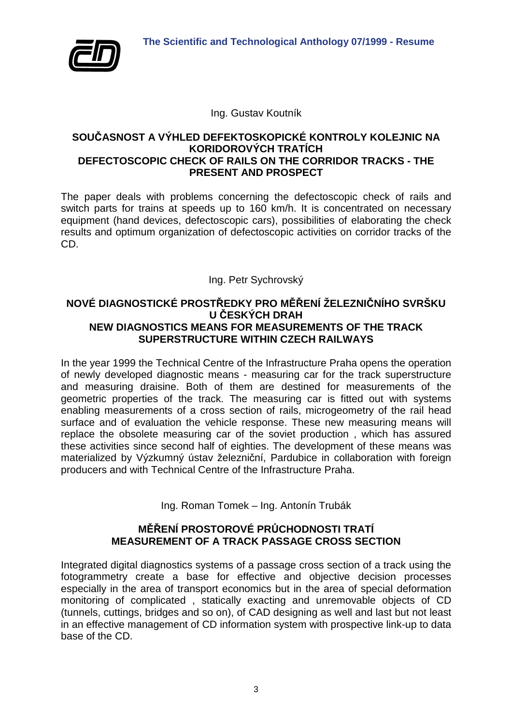

Ing. Gustav Koutník

## **SOUČASNOST A VÝHLED DEFEKTOSKOPICKÉ KONTROLY KOLEJNIC NA KORIDOROVÝCH TRATÍCH DEFECTOSCOPIC CHECK OF RAILS ON THE CORRIDOR TRACKS - THE PRESENT AND PROSPECT**

The paper deals with problems concerning the defectoscopic check of rails and switch parts for trains at speeds up to 160 km/h. It is concentrated on necessary equipment (hand devices, defectoscopic cars), possibilities of elaborating the check results and optimum organization of defectoscopic activities on corridor tracks of the CD.

Ing. Petr Sychrovský

# **NOVÉ DIAGNOSTICKÉ PROSTŘEDKY PRO MĚŘENÍ ŽELEZNIČNÍHO SVRŠKU U ČESKÝCH DRAH NEW DIAGNOSTICS MEANS FOR MEASUREMENTS OF THE TRACK SUPERSTRUCTURE WITHIN CZECH RAILWAYS**

In the year 1999 the Technical Centre of the Infrastructure Praha opens the operation of newly developed diagnostic means - measuring car for the track superstructure and measuring draisine. Both of them are destined for measurements of the geometric properties of the track. The measuring car is fitted out with systems enabling measurements of a cross section of rails, microgeometry of the rail head surface and of evaluation the vehicle response. These new measuring means will replace the obsolete measuring car of the soviet production , which has assured these activities since second half of eighties. The development of these means was materialized by Výzkumný ústav železniční, Pardubice in collaboration with foreign producers and with Technical Centre of the Infrastructure Praha.

Ing. Roman Tomek – Ing. Antonín Trubák

# **MĚŘENÍ PROSTOROVÉ PRŮCHODNOSTI TRATÍ MEASUREMENT OF A TRACK PASSAGE CROSS SECTION**

Integrated digital diagnostics systems of a passage cross section of a track using the fotogrammetry create a base for effective and objective decision processes especially in the area of transport economics but in the area of special deformation monitoring of complicated , statically exacting and unremovable objects of CD (tunnels, cuttings, bridges and so on), of CAD designing as well and last but not least in an effective management of CD information system with prospective link-up to data base of the CD.